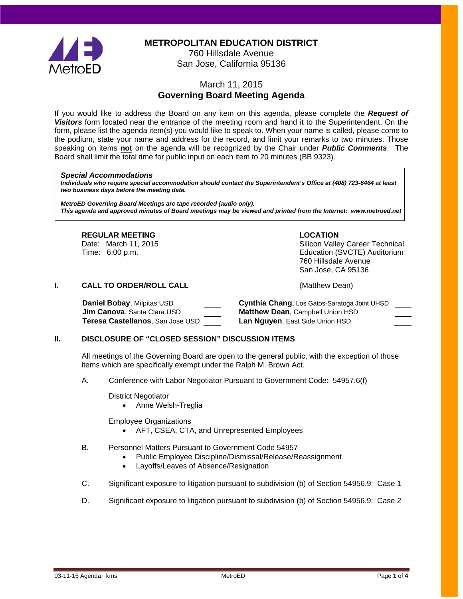

**METROPOLITAN EDUCATION DISTRICT**

760 Hillsdale Avenue San Jose, California 95136

# March 11, 2015 **Governing Board Meeting Agenda**

If you would like to address the Board on any item on this agenda, please complete the *Request of Visitors* form located near the entrance of the meeting room and hand it to the Superintendent. On the form, please list the agenda item(s) you would like to speak to. When your name is called, please come to the podium, state your name and address for the record, and limit your remarks to two minutes. Those speaking on items **not** on the agenda will be recognized by the Chair under *Public Comments*. The Board shall limit the total time for public input on each item to 20 minutes (BB 9323).

#### *Special Accommodations*

*Individuals who require special accommodation should contact the Superintendent's Office at (408) 723-6464 at least two business days before the meeting date.*

*MetroED Governing Board Meetings are tape recorded (audio only). This agenda and approved minutes of Board meetings may be viewed and printed from the Internet: www.metroed.net*

#### **REGULAR MEETING LOCATION**

Date: March 11, 2015 Silicon Valley Career Technical Time: 6:00 p.m. Education (SVCTE) Auditorium 760 Hillsdale Avenue San Jose, CA 95136

## **I. CALL TO ORDER/ROLL CALL CALL CALL CALL (Matthew Dean)**

**Jim Canova**, Santa Clara USD **Matthew Dean**, Campbell Union HSD **Teresa Castellanos**, San Jose USD **Lan Nguyen**, East Side Union HSD

**Daniel Bobay**, Milpitas USD **Cynthia Chang**, Los Gatos-Saratoga Joint UHSD

## **II. DISCLOSURE OF "CLOSED SESSION" DISCUSSION ITEMS**

All meetings of the Governing Board are open to the general public, with the exception of those items which are specifically exempt under the Ralph M. Brown Act.

A. Conference with Labor Negotiator Pursuant to Government Code: 54957.6(f)

District Negotiator

• Anne Welsh-Treglia

Employee Organizations

- AFT, CSEA, CTA, and Unrepresented Employees
- B. Personnel Matters Pursuant to Government Code 54957
	- Public Employee Discipline/Dismissal/Release/Reassignment
	- Layoffs/Leaves of Absence/Resignation
- C. Significant exposure to litigation pursuant to subdivision (b) of Section 54956.9: Case 1
- D. Significant exposure to litigation pursuant to subdivision (b) of Section 54956.9: Case 2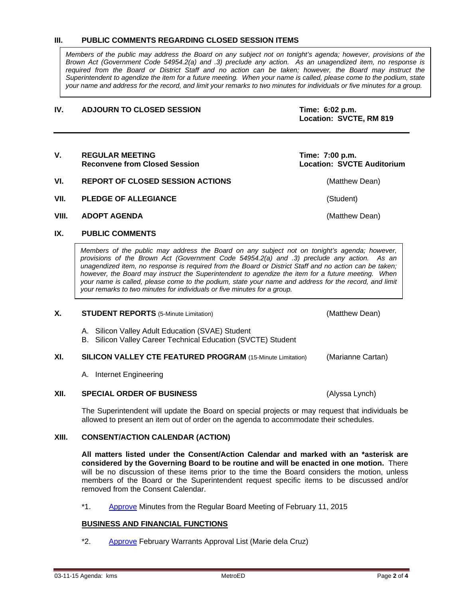#### **III. PUBLIC COMMENTS REGARDING CLOSED SESSION ITEMS**

*Members of the public may address the Board on any subject not on tonight's agenda; however, provisions of the Brown Act (Government Code 54954.2(a) and .3) preclude any action. As an unagendized item, no response is required from the Board or District Staff and no action can be taken; however, the Board may instruct the Superintendent to agendize the item for a future meeting. When your name is called, please come to the podium, state your name and address for the record, and limit your remarks to two minutes for individuals or five minutes for a group.*

#### **IV. ADJOURN TO CLOSED SESSION Time: 6:02 p.m.**

**Location: SVCTE, RM 819**

#### V. REGULAR MEETING<br>Reconvene from Closed Session **Time: 7:00 p.m.**<br>Location: SVCTE Auditorium **Reconvene from Closed Session**

## **VI. REPORT OF CLOSED SESSION ACTIONS CONSTRUCTED ACTIONS** (Matthew Dean)

- **VII. PLEDGE OF ALLEGIANCE** (Student)
- **VIII. ADOPT AGENDA** (Matthew Dean)

## **IX. PUBLIC COMMENTS**

*Members of the public may address the Board on any subject not on tonight's agenda; however, provisions of the Brown Act (Government Code 54954.2(a) and .3) preclude any action. As an unagendized item, no response is required from the Board or District Staff and no action can be taken; however, the Board may instruct the Superintendent to agendize the item for a future meeting. When your name is called, please come to the podium, state your name and address for the record, and limit your remarks to two minutes for individuals or five minutes for a group.*

#### **X. STUDENT REPORTS** (5-Minute Limitation) (Matthew Dean)

- A. Silicon Valley Adult Education (SVAE) Student
- B. Silicon Valley Career Technical Education (SVCTE) Student

#### **XI. SILICON VALLEY CTE FEATURED PROGRAM** (15-Minute Limitation) (Marianne Cartan)

A. Internet Engineering

#### **XII. SPECIAL ORDER OF BUSINESS** (Alyssa Lynch)

The Superintendent will update the Board on special projects or may request that individuals be allowed to present an item out of order on the agenda to accommodate their schedules.

## **XIII. CONSENT/ACTION CALENDAR (ACTION)**

**All matters listed under the Consent/Action Calendar and marked with an \*asterisk are considered by the Governing Board to be routine and will be enacted in one motion.** There will be no discussion of these items prior to the time the Board considers the motion, unless members of the Board or the Superintendent request specific items to be discussed and/or removed from the Consent Calendar.

\*1. [Approve](http://fbsd.metroed.net/ksmith/Board_Agenda/03-11-15BoardAgenda/Item-01_02-11-15BoardMinutes.pdf) Minutes from the Regular Board Meeting of February 11, 2015

#### **BUSINESS AND FINANCIAL FUNCTIONS**

\*2. [Approve](http://fbsd.metroed.net/ksmith/Board_Agenda/03-11-15BoardAgenda/Item-02.pdf) February Warrants Approval List (Marie dela Cruz)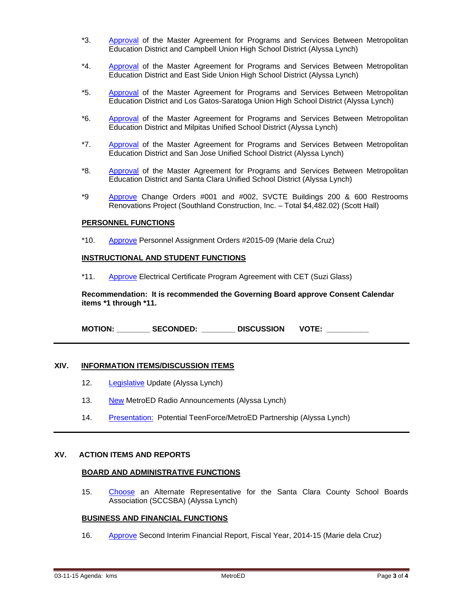- \*3. [Approval](http://fbsd.metroed.net/ksmith/Board_Agenda/03-11-15BoardAgenda/Item-03.pdf) of the Master Agreement for Programs and Services Between Metropolitan Education District and Campbell Union High School District (Alyssa Lynch)
- \*4. [Approval](http://fbsd.metroed.net/ksmith/Board_Agenda/03-11-15BoardAgenda/Item-04.pdf) of the Master Agreement for Programs and Services Between Metropolitan Education District and East Side Union High School District (Alyssa Lynch)
- \*5. [Approval](http://fbsd.metroed.net/ksmith/Board_Agenda/03-11-15BoardAgenda/Item-05.pdf) of the Master Agreement for Programs and Services Between Metropolitan Education District and Los Gatos-Saratoga Union High School District (Alyssa Lynch)
- \*6. [Approval](http://fbsd.metroed.net/ksmith/Board_Agenda/03-11-15BoardAgenda/Item-06.pdf) of the Master Agreement for Programs and Services Between Metropolitan Education District and Milpitas Unified School District (Alyssa Lynch)
- \*7. [Approval](http://fbsd.metroed.net/ksmith/Board_Agenda/03-11-15BoardAgenda/Item-07.pdf) of the Master Agreement for Programs and Services Between Metropolitan Education District and San Jose Unified School District (Alyssa Lynch)
- \*8. [Approval](http://fbsd.metroed.net/ksmith/Board_Agenda/03-11-15BoardAgenda/Item-08.pdf) of the Master Agreement for Programs and Services Between Metropolitan Education District and Santa Clara Unified School District (Alyssa Lynch)
- \*9 [Approve](http://fbsd.metroed.net/ksmith/Board_Agenda/03-11-15BoardAgenda/Item-09.pdf) Change Orders #001 and #002, SVCTE Buildings 200 & 600 Restrooms Renovations Project (Southland Construction, Inc. – Total \$4,482.02) (Scott Hall)

#### **PERSONNEL FUNCTIONS**

\*10. [Approve](http://fbsd.metroed.net/ksmith/Board_Agenda/03-11-15BoardAgenda/Item-10.pdf) Personnel Assignment Orders #2015-09 (Marie dela Cruz)

#### **INSTRUCTIONAL AND STUDENT FUNCTIONS**

\*11. [Approve](http://fbsd.metroed.net/ksmith/Board_Agenda/03-11-15BoardAgenda/Item-11.pdf) Electrical Certificate Program Agreement with CET (Suzi Glass)

**Recommendation: It is recommended the Governing Board approve Consent Calendar items \*1 through \*11.**

**MOTION: \_\_\_\_\_\_\_\_ SECONDED: \_\_\_\_\_\_\_\_ DISCUSSION VOTE: \_\_\_\_\_\_\_\_\_\_**

#### **XIV. INFORMATION ITEMS/DISCUSSION ITEMS**

- 12. [Legislative](http://fbsd.metroed.net/ksmith/Board_Agenda/03-11-15BoardAgenda/Item-12.pdf) Update (Alyssa Lynch)
- 13. [New](http://fbsd.metroed.net/ksmith/Board_Agenda/03-11-15BoardAgenda/Item-13.pdf) MetroED Radio Announcements (Alyssa Lynch)
- 14. [Presentation:](http://fbsd.metroed.net/ksmith/Board_Agenda/03-11-15BoardAgenda/Item-14.pdf) Potential TeenForce/MetroED Partnership (Alyssa Lynch)

#### **XV. ACTION ITEMS AND REPORTS**

#### **BOARD AND ADMINISTRATIVE FUNCTIONS**

15. [Choose](http://fbsd.metroed.net/ksmith/Board_Agenda/03-11-15BoardAgenda/Item-15.pdf) an Alternate Representative for the Santa Clara County School Boards Association (SCCSBA) (Alyssa Lynch)

#### **BUSINESS AND FINANCIAL FUNCTIONS**

16. [Approve](http://fbsd.metroed.net/ksmith/Board_Agenda/03-11-15BoardAgenda/Item-16.pdf) Second Interim Financial Report, Fiscal Year, 2014-15 (Marie dela Cruz)